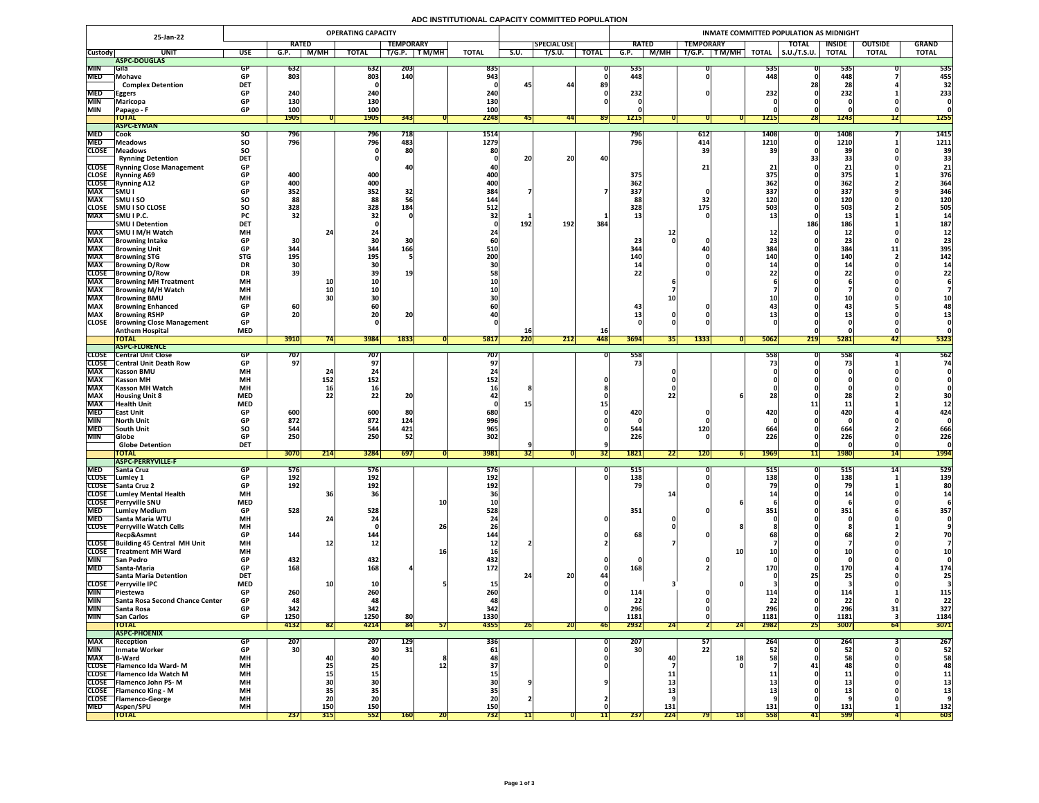## **ADC INSTITUTIONAL CAPACITY COMMITTED POPULATION**

|                              | 25-Jan-22                                          |                          | <b>OPERATING CAPACITY</b> |                   |                  |                  |            |              |           |                    |              | <b>INMATE COMMITTED POPULATION AS MIDNIGHT</b> |                                |                                |                     |                    |                |              |  |  |  |  |
|------------------------------|----------------------------------------------------|--------------------------|---------------------------|-------------------|------------------|------------------|------------|--------------|-----------|--------------------|--------------|------------------------------------------------|--------------------------------|--------------------------------|---------------------|--------------------|----------------|--------------|--|--|--|--|
|                              |                                                    |                          | <b>RATED</b>              |                   |                  | <b>TEMPORARY</b> |            |              |           | <b>SPECIAL USE</b> |              | <b>RATED</b>                                   | <b>TEMPORARY</b>               |                                | <b>TOTAL</b>        | <b>INSIDE</b>      | <b>OUTSIDE</b> | <b>GRAND</b> |  |  |  |  |
| <b>Custody</b>               | <b>UNIT</b>                                        | <b>USE</b>               | G.P.                      | <b>M/MH</b>       | <b>TOTAL</b>     | T/G.P.           | T M/MH     | <b>TOTAL</b> | S.U.      | T/S.U.             | <b>TOTAL</b> | $\overline{G.P.}$<br>M/MH                      | T/G.P.<br>$\top$ T M/MH $\top$ | <b>TOTAL</b>                   | $\vert$ S.U./T.S.U. | <b>TOTAL</b>       | <b>TOTAL</b>   | <b>TOTAL</b> |  |  |  |  |
|                              | ASPC-DOUGLAS                                       |                          |                           |                   |                  |                  |            |              |           |                    |              |                                                |                                |                                |                     |                    |                |              |  |  |  |  |
| <b>MIN</b><br><b>MED</b>     | <b>Sila</b><br>Mohave                              | <b>GP</b>                | 632<br>803                |                   | 632<br>803       | 203<br>140       |            | 835<br>943   |           |                    |              | 535<br>448                                     |                                | 535 <br>448.                   |                     | 535<br>448         |                | 535<br>455   |  |  |  |  |
|                              | <b>Complex Detention</b>                           | <b>DET</b>               |                           |                   |                  |                  |            |              | 45        | 44                 | 89           |                                                |                                |                                |                     | ZO                 |                | 32           |  |  |  |  |
| <b>MED</b>                   | <b>Eggers</b>                                      | <b>GP</b>                | 240                       |                   | 240              |                  |            | 240          |           |                    |              | 232                                            |                                | 232                            |                     | 232                |                | 233          |  |  |  |  |
| <b>MIN</b>                   | Maricopa                                           |                          | 130                       |                   | 130              |                  |            | 130          |           |                    |              |                                                |                                |                                |                     |                    |                |              |  |  |  |  |
| <b>MIN</b>                   | Papago - F                                         | <b>GP</b>                | <b>100</b>                |                   | <b>100</b>       |                  |            | 100          |           |                    |              |                                                |                                |                                |                     |                    |                |              |  |  |  |  |
|                              | <b>TOTAL</b><br><b>ASPC-EYMAN</b>                  |                          | <b>1905</b>               |                   | <b>1905</b>      | 343              |            | 2248         |           | 44                 | <b>891</b>   | 1215                                           |                                | <b>1215</b>                    | <b>281</b>          | 1243               | $\perp$        | <b>1255</b>  |  |  |  |  |
| <b>MED</b>                   | Cook                                               | SO.                      | 796                       |                   | <b>796</b>       | 718              |            | 1514'        |           |                    |              | 796                                            | 612                            | 1408                           |                     | 1408               |                | 1415         |  |  |  |  |
| <b>MED</b>                   | Meadows <sup>®</sup>                               | <b>SO</b>                | 796                       |                   | 796              | 483              |            | 1279         |           |                    |              | 796                                            | 414                            | 1210                           |                     | 1210               |                | 1211         |  |  |  |  |
| <b>CLOSE</b>                 | Meadows                                            | SO                       |                           |                   |                  | 80               |            | 80           |           |                    |              |                                                |                                | 20                             |                     | <b>39</b>          |                | 39           |  |  |  |  |
|                              | <b>Rynning Detention</b>                           | <b>DET</b>               |                           |                   |                  |                  |            |              | 20        | 20                 | 40           |                                                |                                |                                |                     | 33                 |                |              |  |  |  |  |
|                              | <b>CLOSE</b> Rynning Close Management              | <b>GP</b>                |                           |                   |                  |                  |            |              |           |                    |              |                                                |                                |                                |                     | ◢                  |                |              |  |  |  |  |
| <b>CLOSE</b>                 | <b>Rynning A69</b>                                 | <b>GP</b>                | 400                       |                   | 400              |                  |            | 400          |           |                    |              | 375                                            |                                | 375<br><b>362</b>              |                     | 375                |                | 376          |  |  |  |  |
| <b>CLOSE</b><br><b>MAX</b>   | <b>Rynning A12</b><br> SMU                         | <b>GP</b>                | 400<br>352                |                   | 400<br>352       | 32               |            | 400 <br>384  |           |                    |              | 362<br>337                                     |                                | 337                            |                     | 362<br>337         |                | 364<br>346   |  |  |  |  |
| <b>MAX</b>                   | <b>SMUISO</b>                                      | SO                       | 88                        |                   | 88               |                  |            | 144          |           |                    |              |                                                |                                | 120                            |                     | 120                |                | 120          |  |  |  |  |
| <b>CLOSE</b>                 | <b>SMU I SO CLOSE</b>                              | <b>SO</b>                | 328                       |                   | 328              | 184              |            | 512          |           |                    |              | 328                                            | 175                            | <b>503</b>                     |                     | 503                |                | 505          |  |  |  |  |
| <b>MAX</b>                   | SMU I P.C.                                         | <b>PC</b>                | 32                        |                   |                  |                  |            |              |           |                    |              |                                                |                                |                                |                     | ∸∸                 |                |              |  |  |  |  |
|                              | <b>SMU I Detention</b>                             | <b>DET</b>               |                           |                   |                  |                  |            |              | 192       | 192                | 384          |                                                |                                |                                | 186                 | 186                |                | 187          |  |  |  |  |
| <b>MAX</b>                   | SMU I M/H Watch                                    | <b>MH</b>                |                           |                   |                  |                  |            |              |           |                    |              |                                                |                                |                                |                     | TT.                |                |              |  |  |  |  |
| <b>MAX</b><br><b>MAX</b>     | <b> Browning Intake</b><br><b>Browning Unit</b>    | <b>GP</b><br><b>GP</b>   | 30<br>344                 |                   | <b>30</b><br>344 | 166              |            | 510          |           |                    |              | 23<br>344                                      |                                | 384                            |                     | 23<br>384          |                | 395          |  |  |  |  |
| <b>MAX</b>                   | <b>Browning STG</b>                                | <b>STG</b>               | <b>195</b>                |                   | 195              |                  |            | 200          |           |                    |              | <b>140</b>                                     |                                | 140                            |                     | <b>140</b>         | -151-19        | 142          |  |  |  |  |
| <b>MAX</b>                   | <b>Browning D/Row</b>                              | <b>DR</b>                |                           |                   |                  |                  |            |              |           |                    |              |                                                |                                |                                |                     | -45                |                |              |  |  |  |  |
| <b>CLOSE</b>                 | <b>Browning D/Row</b>                              | <b>DR</b>                | 39                        |                   |                  | <b>19</b>        |            |              |           |                    |              |                                                |                                |                                |                     | 91                 |                |              |  |  |  |  |
| <b>MAX</b>                   | <b>Browning MH Treatment</b>                       | <b>MH</b>                |                           |                   |                  |                  |            |              |           |                    |              |                                                |                                |                                |                     |                    |                |              |  |  |  |  |
| <b>MAX</b>                   | <b>TBrowning M/H Watch</b>                         | <b>MH</b>                |                           |                   |                  |                  |            |              |           |                    |              |                                                |                                |                                |                     |                    |                |              |  |  |  |  |
| <b>MAX</b><br><b>MAX</b>     | <b>Browning BMU</b><br><b>Browning Enhanced</b>    | <b>MH</b><br><b>GP</b>   | 60                        |                   |                  |                  |            |              |           |                    |              |                                                |                                |                                |                     |                    |                |              |  |  |  |  |
| <b>MAX</b>                   | <b>Browning RSHP</b>                               | <b>GP</b>                | 20                        |                   | 20               | nn.<br>ZU        |            |              |           |                    |              |                                                |                                |                                |                     |                    |                |              |  |  |  |  |
| <b>CLOSE</b>                 | <b>Browning Close Management</b>                   | <b>GP</b>                |                           |                   |                  |                  |            |              |           |                    |              |                                                |                                |                                |                     |                    |                |              |  |  |  |  |
|                              | <b>Anthem Hospital</b>                             | <b>MED</b>               |                           |                   |                  |                  |            |              | <b>16</b> |                    | <b>16</b>    |                                                |                                |                                |                     |                    |                |              |  |  |  |  |
|                              | <b>TOTAL</b>                                       |                          | 3910                      |                   | 3984             | 1833             |            | 5817         | 220       | 212                | 448          | 3694                                           | 1333<br>351                    | 5062                           | 219                 | 5281               | <b>421</b>     | 5323         |  |  |  |  |
| <b>CLOSE</b>                 | <b>TASPC-FLORENCE</b><br><b>Central Unit Close</b> |                          |                           |                   | 707              |                  |            | 707          |           |                    |              | 558                                            |                                | 558                            |                     |                    |                | 562          |  |  |  |  |
|                              | <b>CLOSE</b> Central Unit Death Row                |                          | /0/ <br>97                |                   |                  |                  |            |              |           |                    |              |                                                |                                |                                |                     | 558                |                | 74           |  |  |  |  |
| <b>MAX</b>                   | <b>Kasson BMU</b>                                  | <b>MH</b>                |                           |                   |                  |                  |            |              |           |                    |              |                                                |                                |                                |                     |                    |                |              |  |  |  |  |
| <b>MAX</b>                   | <b>Kasson MH</b>                                   | <b>MH</b>                |                           | 152               | 152              |                  |            | 152          |           |                    |              |                                                |                                |                                |                     |                    |                |              |  |  |  |  |
| <b>MAX</b>                   | <b>Kasson MH Watch</b>                             | <b>MH</b>                |                           | 16                |                  |                  |            |              |           |                    |              |                                                |                                |                                |                     |                    |                |              |  |  |  |  |
| <b>MAX</b><br><b>MAX</b>     | <b>Housing Unit 8</b>                              | <b>MED</b><br><b>MED</b> |                           |                   | 22 <sub>1</sub>  | nn.              |            |              |           |                    |              |                                                |                                |                                |                     |                    |                |              |  |  |  |  |
| <b>MED</b>                   | <b>Health Unit</b><br><b>East Unit</b>             |                          | 600                       |                   | 600              | 80               |            | 680          |           |                    |              | 420                                            |                                | 420                            |                     | <b>12L</b>         |                | 424          |  |  |  |  |
| <b>MIN</b>                   | North Unit                                         |                          | 872                       |                   | 872              | 124              |            | 996          |           |                    |              |                                                |                                |                                |                     |                    |                |              |  |  |  |  |
| <b>MED</b>                   | <b>South Unit</b>                                  | SO                       | 544                       |                   | 544              | 421              |            | 965          |           |                    |              | 544                                            | <b>120</b>                     | 664                            |                     | 664                |                | 666          |  |  |  |  |
| <b>MIN</b>                   | <b>Globe</b>                                       |                          | 250                       |                   | 250              | 52               |            | 302          |           |                    |              | 226                                            |                                | 226                            |                     | 226                |                | 226          |  |  |  |  |
|                              | <b>Globe Detention</b>                             | <b>DET</b>               |                           |                   |                  |                  |            |              |           |                    |              |                                                | <b>PPI</b>                     |                                |                     |                    | 11             |              |  |  |  |  |
|                              | <b>TOTAL</b><br><b>ASPC-PERRYVILLE-F</b>           |                          | 3070                      | 214               | 3284             | 697              |            | 3981         | 52        |                    | <b>34</b>    | 1821                                           | <b>120</b><br> 22              | <b>1969</b>                    | 11                  | <b>1980</b>        | 14             | <b>1994</b>  |  |  |  |  |
| <b>MED</b>                   | <b>Santa Cruz</b>                                  |                          | 576                       |                   | 576              |                  |            | <b>576</b>   |           |                    |              | 515                                            |                                | <b>5151</b>                    |                     | <b>515</b>         |                | 529          |  |  |  |  |
| <b>CLOSE</b>                 | Lumley 1                                           |                          | 192                       |                   | 192              |                  |            | 192          |           |                    |              | <b>138</b>                                     |                                | 138                            |                     | 138                |                | 139          |  |  |  |  |
|                              | CLOSE Santa Cruz 2                                 | <b>GP</b>                | 192                       |                   | 192              |                  |            | 192          |           |                    |              |                                                |                                |                                |                     |                    |                | 80           |  |  |  |  |
| <b>CLOSE</b><br><b>CLOSE</b> | Lumley Mental Health                               | <b>MH</b><br><b>MED</b>  |                           |                   |                  |                  |            |              |           |                    |              |                                                |                                |                                |                     |                    |                |              |  |  |  |  |
| <b>MED</b>                   | <b>Perryville SNU</b><br><b>Lumley Medium</b>      | <b>GP</b>                | 528                       |                   | 528              |                  | <b>10</b>  | 528          |           |                    |              | 351                                            |                                | <b>351</b>                     |                     | 351                |                | 357          |  |  |  |  |
| <b>MED</b>                   | Santa Maria WTU                                    | <b>MH</b>                |                           |                   |                  |                  |            |              |           |                    |              |                                                |                                |                                |                     |                    |                |              |  |  |  |  |
| <b>CLOSE</b>                 | <b>Perryville Watch Cells</b>                      | <b>MH</b>                |                           |                   |                  |                  | 26         |              |           |                    |              |                                                |                                |                                |                     |                    |                |              |  |  |  |  |
|                              | Recp&Asmnt                                         | <b>GP</b>                | 144                       |                   | 144              |                  |            | 144          |           |                    |              | 68                                             |                                |                                |                     | 68                 |                |              |  |  |  |  |
|                              | CLOSE Building 45 Central MH Unit                  | <b>MH</b>                |                           |                   | 12 <sup>1</sup>  |                  |            |              |           |                    |              |                                                |                                |                                |                     |                    |                |              |  |  |  |  |
| <b>CLOSE</b><br><b>MIN</b>   | Treatment MH Ward<br><b>San Pedro</b>              | <b>MH</b><br><b>GP</b>   | 432                       |                   | 432              |                  |            | 432          |           |                    |              |                                                |                                | <b>10</b>                      |                     |                    |                |              |  |  |  |  |
| <b>MED</b>                   | <b>Santa-Maria</b>                                 | <b>GP</b>                | 168                       |                   | 168              |                  |            | 172          |           |                    |              | 168                                            |                                |                                |                     | 170                |                | 174          |  |  |  |  |
|                              | Santa Maria Detention                              | <b>DET</b>               |                           |                   |                  |                  |            |              |           | 20 <sub>1</sub>    |              |                                                |                                |                                |                     | 25                 |                |              |  |  |  |  |
|                              | CLOSE Perryville IPC                               | <b>MED</b>               |                           |                   |                  |                  |            |              |           |                    |              |                                                |                                |                                |                     |                    |                |              |  |  |  |  |
| <b>MIN</b>                   | <b>Piestewa</b>                                    |                          | 260                       |                   | 260              |                  |            | <b>260 </b>  |           |                    |              | 114                                            |                                | __                             |                     | <b>TT4</b>         |                | <b>115</b>   |  |  |  |  |
| <b>MIN</b>                   | <b>Santa Rosa Second Chance Center</b>             | <b>GP</b>                | 48                        |                   | 48               |                  |            |              |           |                    |              | 22                                             |                                | 22                             |                     | 22 <sub>1</sub>    |                | 22           |  |  |  |  |
| <b>MIN</b><br><b>MIN</b>     | Santa Rosa<br><b>San Carlos</b>                    | <b>GP</b>                | 342<br>1250               |                   | 342<br>1250      | 80               |            | 342<br>1330  |           |                    |              | 296<br>1181                                    |                                | 296<br>1181                    |                     | <b>296</b><br>1181 |                | 327<br>1184  |  |  |  |  |
|                              | <b>TOTAL</b>                                       |                          | 4132                      | 821               | 4214             | 84               | <b>571</b> | 4355         | 26        | 20                 | <b>461</b>   | 2932                                           | 24                             | 2982<br>24                     | <b>251</b>          | 3007               | 64             | 3071         |  |  |  |  |
|                              | <b>ASPC-PHOENIX</b>                                |                          |                           |                   |                  |                  |            |              |           |                    |              |                                                |                                |                                |                     |                    |                |              |  |  |  |  |
| <b>MAX</b>                   | Reception                                          |                          | 207                       |                   | 207              | <b>129</b>       |            | 336          |           |                    |              | 207                                            | 57                             | 264                            |                     | <b>Zb4</b>         |                | 267          |  |  |  |  |
| <b>MIN</b>                   | <b>Inmate Worker</b>                               | <b>GP</b>                | 30                        |                   | 30 <sup>1</sup>  | 31               |            | 61           |           |                    |              | 30 <sup>l</sup>                                | 22                             |                                |                     | 52 <sub>1</sub>    |                | 52           |  |  |  |  |
| <b>MAX</b>                   | <b>B-Ward</b><br>CLOSE   Flamenco Ida Ward-M       | <b>MH</b><br>MH          |                           |                   | <b>Z5</b>        |                  |            |              |           |                    |              |                                                |                                |                                |                     |                    |                | 58           |  |  |  |  |
|                              | CLOSE   Flamenco Ida Watch M                       | <b>MH</b>                |                           | LJ                |                  |                  |            |              |           |                    |              |                                                |                                |                                |                     |                    |                | 11           |  |  |  |  |
|                              | CLOSE   Flamenco John PS-M                         | <b>MH</b>                |                           |                   |                  |                  |            |              |           |                    |              |                                                |                                |                                |                     |                    |                |              |  |  |  |  |
|                              | <b>CLOSE</b> Flamenco King - M                     | <b>MH</b>                |                           |                   |                  |                  |            |              |           |                    |              |                                                |                                |                                |                     |                    |                |              |  |  |  |  |
| <b>CLOSE</b>                 | <b>Trlamenco-George</b>                            | <b>MH</b>                |                           |                   | 20               |                  |            |              |           |                    |              |                                                |                                |                                |                     |                    |                |              |  |  |  |  |
| <b>MED</b>                   | <b>IAspen/SPU</b><br><b>TOTAL</b>                  | <b>MH</b>                | 237                       | <b>150</b><br>315 | 150<br>552       | <b>160</b>       | <b>ZU</b>  | 150<br>732   |           |                    |              | 237                                            | <b>131</b><br>224<br>791       | 131<br><b>558</b><br><b>18</b> | 411                 | 131<br>599         |                | 132<br>603   |  |  |  |  |
|                              |                                                    |                          |                           |                   |                  |                  |            |              |           |                    |              |                                                |                                |                                |                     |                    |                |              |  |  |  |  |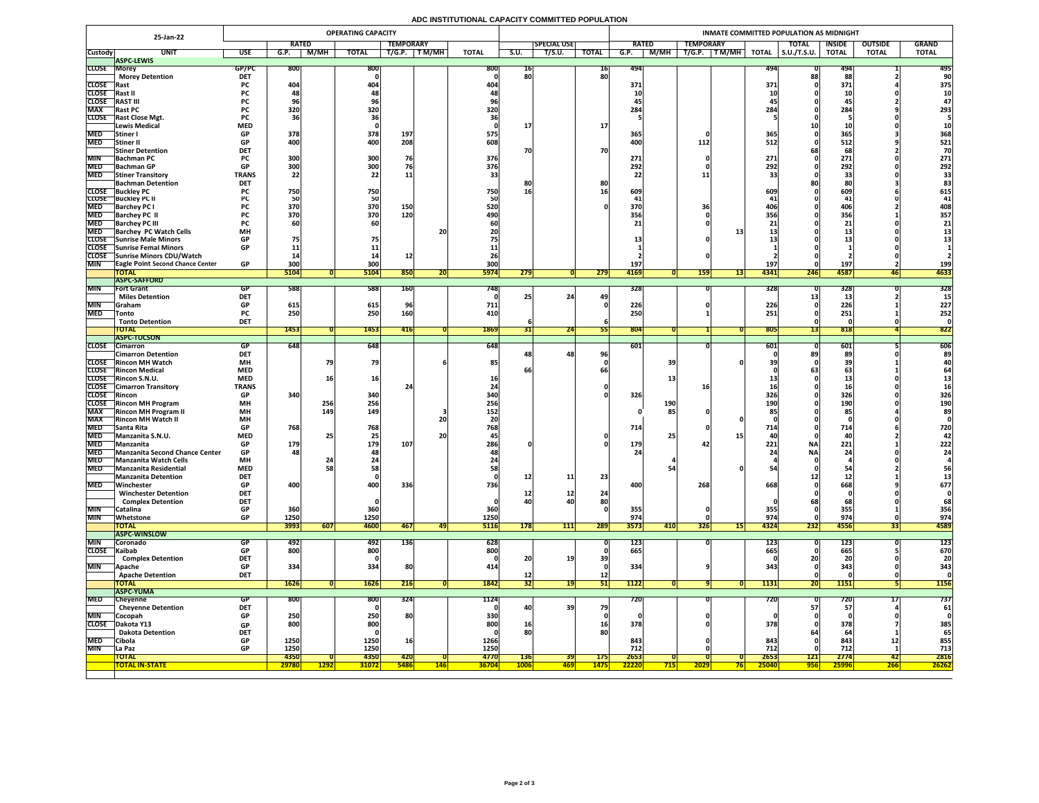## **ADC INSTITUTIONAL CAPACITY COMMITTED POPULATION**

|                              | 25-Jan-22                                                      |                           |                                 |             | <b>OPERATING CAPACITY</b> |                  |                 |                  |             |                    |              | INMATE COMMITTED POPULATION AS MIDNIGHT |                   |                    |                    |                     |                 |                |              |  |  |
|------------------------------|----------------------------------------------------------------|---------------------------|---------------------------------|-------------|---------------------------|------------------|-----------------|------------------|-------------|--------------------|--------------|-----------------------------------------|-------------------|--------------------|--------------------|---------------------|-----------------|----------------|--------------|--|--|
|                              |                                                                |                           | <b>RATED</b>                    |             |                           | <b>TEMPORARY</b> |                 |                  |             | <b>SPECIAL USE</b> |              | <b>RATED</b>                            |                   | <b>TEMPORARY</b>   |                    | <b>TOTAL</b>        | <b>INSIDE</b>   | <b>OUTSIDE</b> | <b>GRAND</b> |  |  |
| <b>Custody</b>               | <b>UNIT</b><br><b>ASPC-LEWIS</b>                               | <b>USE</b>                | G.P.                            | M/MH        | <b>TOTAL</b>              | T/G.P.           | T M/MH          | <b>TOTAL</b>     | S.U.        | T/S.U.             | <b>TOTAL</b> | G.P.                                    | M/MH              | $T$ M/MH<br>T/G.P. | <b>TOTAL</b>       | $\vert$ S.U./T.S.U. | <b>TOTAL</b>    | <b>TOTAL</b>   | <b>TOTAL</b> |  |  |
| <b>CLOSE Morey</b>           |                                                                | GP/PC                     | <b>800</b>                      |             | 800                       |                  |                 | 800              | 10          |                    | <b>16</b>    | 494                                     |                   |                    | 494                |                     | 494             |                | 495          |  |  |
|                              | <b>Morey Detention</b>                                         | <b>DET</b>                |                                 |             |                           |                  |                 |                  | 80          |                    | 80           |                                         |                   |                    |                    |                     | 88              |                |              |  |  |
| <b>CLOSE</b> Rast            |                                                                | <b>PC</b>                 | 404                             |             | 404                       |                  |                 |                  |             |                    |              | 371                                     |                   |                    | <b>371</b>         |                     | 371             |                | 375          |  |  |
| <b>CLOSE</b><br><b>CLOSE</b> | <b> Rast I</b><br><b>RAST III</b>                              | <b>PC</b>                 |                                 |             |                           |                  |                 |                  |             |                    |              | 10                                      |                   |                    |                    |                     |                 |                | <b>10</b>    |  |  |
| <b>MAX</b>                   | <b>Rast PC</b>                                                 | <b>PC</b>                 | 320                             |             | 320                       |                  |                 | 320              |             |                    |              | 284                                     |                   |                    | 28                 |                     | 45<br>284       |                | 293          |  |  |
|                              | CLOSE Rast Close Mgt.                                          | <b>PC</b>                 |                                 |             |                           |                  |                 |                  |             |                    |              |                                         |                   |                    |                    |                     |                 |                |              |  |  |
|                              | <b>Lewis Medical</b>                                           | <b>MED</b>                |                                 |             |                           |                  |                 |                  |             |                    | <b>17</b>    |                                         |                   |                    |                    |                     |                 |                |              |  |  |
| <b>MED</b>                   | Stiner                                                         | <b>GP</b>                 | 378                             |             | 378                       | 197              |                 | 575              |             |                    |              | 365                                     |                   |                    | 365                |                     | 365             |                | 368          |  |  |
| <b>MED</b>                   | Stiner II                                                      | <b>GP</b><br><b>DET</b>   | 400                             |             | 400                       | 208              |                 | 608              |             |                    | 70           | 400                                     |                   | 112                | 512                |                     | 512             |                | 521          |  |  |
| <b>MIN</b>                   | <b>Stiner Detention</b><br><b>Bachman PC</b>                   |                           | 300                             |             | 300                       | 76               |                 | 376              | 70          |                    |              | 271                                     |                   |                    | 271                |                     | 68<br>271       |                | 70<br>271    |  |  |
|                              | MED Bachman GP                                                 | <b>GP</b>                 | 200 <sup>1</sup><br><b>PODE</b> |             | 200<br>ϽUU                |                  |                 | 276<br>$J$ / $O$ |             |                    |              | 202<br>ZJZ                              |                   |                    | 202<br>ZJZ         |                     | 202<br>ZJZ      |                | 292          |  |  |
| <b>MED</b>                   | <b>Stiner Transitory</b>                                       | <b>TRANS</b>              | 22                              |             | 22                        | <b>11</b>        |                 | 33               |             |                    |              | 22                                      |                   |                    |                    |                     |                 |                |              |  |  |
|                              | <b>Bachman Detention</b>                                       | <b>DET</b>                |                                 |             |                           |                  |                 |                  |             |                    | 80           |                                         |                   |                    |                    |                     |                 |                |              |  |  |
|                              | <b>CLOSE</b> Buckley PC<br><b>CLOSE</b> Buckley PC II          | <b>PC</b><br>PC           | 750                             |             | 750<br>50                 |                  |                 | 750              | 16          |                    |              | 609                                     |                   |                    | 609                |                     | 609             |                | 615<br>41    |  |  |
| <b>MED</b>                   | <b>Barchey PC I</b>                                            |                           | 370                             |             | 370                       | 150              |                 | 520              |             |                    |              | 370                                     |                   |                    |                    |                     | 406             |                | 408          |  |  |
| <b>MED</b>                   | <b>Barchey PC II</b>                                           |                           | 370                             |             | 370                       | 120              |                 | 490              |             |                    |              | 356                                     |                   |                    | 356                |                     | 356             |                | 357          |  |  |
| <b>MED</b>                   | <b>Barchey PC III</b>                                          | <b>PC</b>                 |                                 |             |                           |                  |                 |                  |             |                    |              |                                         |                   |                    |                    |                     | 21<br><u>zi</u> |                | 21           |  |  |
| <b>MED</b>                   | <b>Barchey PC Watch Cells</b>                                  | <b>MH</b>                 |                                 |             |                           |                  | 20 <sub>1</sub> |                  |             |                    |              |                                         |                   |                    |                    |                     |                 |                |              |  |  |
|                              | <b>CLOSE</b> Sunrise Male Minors<br>CLOSE Sunrise Femal Minors | <b>GP</b><br><b>GP</b>    |                                 |             |                           |                  |                 |                  |             |                    |              |                                         |                   |                    |                    |                     |                 |                |              |  |  |
|                              | CLOSE Sunrise Minors CDU/Watch                                 |                           |                                 |             |                           |                  |                 |                  |             |                    |              |                                         |                   |                    |                    |                     |                 |                |              |  |  |
| <b>MIN</b>                   | <b>TEagle Point Second Chance Center</b>                       | <b>GP</b>                 | 300                             |             | 300                       |                  |                 | 300              |             |                    |              | 197'                                    |                   |                    | 197                |                     | 197             |                | <b>199</b>   |  |  |
|                              | <b>TOTAL</b>                                                   |                           | 5104                            |             | 5104                      | 850              | ZU.             | <b>5974</b>      | 279         |                    | 279          | 4169                                    |                   | <b>159</b>         | 4341<br><b>137</b> | 246                 | 4587            | <b>46</b>      | 4633         |  |  |
|                              | <b>ASPC-SAFFORD</b>                                            |                           |                                 |             |                           |                  |                 |                  |             |                    |              |                                         |                   |                    |                    |                     |                 |                |              |  |  |
| <b>MIN</b>                   | <b>Fort Grant</b><br><b>Miles Detention</b>                    | GP<br><b>DET</b>          | 588                             |             | 588                       | <b>160</b>       |                 | 748              |             | 24                 | 49           | 328                                     |                   |                    | 328                |                     | 328             |                | 328          |  |  |
| <b>MIN</b>                   | <b>Sraham</b>                                                  | <b>GP</b>                 | 615                             |             | 615                       |                  |                 | 711              |             |                    |              | 226                                     |                   |                    | 226                |                     | 226             |                | 227          |  |  |
| MED                          | $\sqrt{\ }$ Tonto                                              | <b>PC</b>                 | 250                             |             | 250                       | <b>160</b>       |                 | 410              |             |                    |              | 250                                     |                   |                    | 251                |                     | 251             |                | 252          |  |  |
|                              | <b>Tonto Detention</b>                                         | <b>DET</b>                |                                 |             |                           |                  |                 |                  |             |                    |              |                                         |                   |                    |                    |                     |                 |                |              |  |  |
|                              | <b>TOTAL</b>                                                   |                           | 1453                            |             | 1453                      | 416              |                 | 1869             |             | 24                 |              | 804                                     |                   |                    | 805                |                     | 818             |                | 822          |  |  |
|                              | <b>ASPC-TUCSON</b><br>CLOSE Cimarron                           | GP                        | 648                             |             | 648                       |                  |                 | 648              |             |                    |              | 601                                     |                   |                    | 601                |                     | 601             |                | 606          |  |  |
|                              | <b>Cimarron Detention</b>                                      | <b>DET</b>                |                                 |             |                           |                  |                 |                  | 481         | 48                 | 96           |                                         |                   |                    |                    |                     | 89              |                | 89           |  |  |
|                              | <b>CLOSE</b> Rincon MH Watch                                   | <b>MH</b>                 |                                 |             | 79                        |                  |                 | 85               |             |                    |              |                                         | 39                |                    |                    |                     |                 |                |              |  |  |
|                              | <b>CLOSE</b> Rincon Medical                                    | <b>MED</b>                |                                 |             |                           |                  |                 |                  |             |                    |              |                                         |                   |                    |                    |                     |                 |                |              |  |  |
|                              | <b>CLOSE</b> Rincon S.N.U.                                     | <b>MED</b>                |                                 |             | TPI                       |                  |                 |                  |             |                    |              |                                         | 13                |                    |                    |                     |                 |                |              |  |  |
| <b>CLOSE</b> Rincon          | <b>CLOSE</b> Cimarron Transitory                               | <b>TRANS</b><br><b>GP</b> | 340                             |             | 340                       |                  |                 | 340              |             |                    |              | 326                                     |                   |                    | 326                |                     | 326             |                | 326          |  |  |
|                              | <b>CLOSE</b> Rincon MH Program                                 | <b>MH</b>                 |                                 | 256         | 256                       |                  |                 | 256              |             |                    |              |                                         | <b>190</b>        |                    | 190                |                     | 190             |                | <b>190</b>   |  |  |
| <b>MAX</b>                   | <b>Rincon MH Program II</b>                                    | <b>MH</b>                 |                                 | 149         | <b>149</b>                |                  |                 | 152              |             |                    |              |                                         | 85                |                    |                    |                     | 85              |                | 89           |  |  |
| <b>MAX</b>                   | <b>Rincon MH Watch II</b>                                      | <b>MH</b>                 |                                 |             |                           |                  | <b>20</b>       |                  |             |                    |              |                                         |                   |                    |                    |                     |                 |                |              |  |  |
| <b>MED</b>                   | <b>Santa Rita</b>                                              | <b>GP</b>                 | 768                             |             | 768                       |                  |                 | 768              |             |                    |              | 714                                     |                   |                    | 714                |                     | 714             |                | 720          |  |  |
| <b>MED</b><br><b>MED</b>     | Manzanita S.N.U.<br>Manzanita                                  | <b>MED</b><br><b>GP</b>   | 179                             |             | 25 <sub>1</sub><br>179    | 107              | <b>20</b>       | 286              |             |                    |              | 179                                     | 25                |                    | 221                | <b>NA</b>           | 221             |                | 222          |  |  |
| <b>MED</b>                   | <b>Manzanita Second Chance Center</b>                          | <b>GP</b>                 | 48                              |             | 481                       |                  |                 |                  |             |                    |              |                                         |                   |                    |                    | <b>NA</b>           | 24'             |                | 24           |  |  |
| <b>MED</b>                   | <b>Manzanita Watch Cells</b>                                   | <b>MH</b>                 |                                 |             |                           |                  |                 |                  |             |                    |              |                                         |                   |                    |                    |                     |                 |                |              |  |  |
| <b>MED</b>                   | Manzanita Residential                                          | <b>MED</b>                |                                 |             | 58 <sub>1</sub>           |                  |                 |                  |             |                    |              |                                         |                   |                    |                    |                     |                 |                | 56           |  |  |
|                              | <b>Manzanita Detention</b>                                     | <b>DET</b>                |                                 |             |                           |                  |                 |                  | 12          | 11                 | 23           |                                         |                   |                    |                    |                     | J.Z             |                |              |  |  |
| <b>MED</b>                   | Winchester<br><b>Winchester Detention</b>                      | <b>GP</b><br><b>DET</b>   | 400                             |             | 400                       | 336              |                 | <b>736</b>       |             |                    | 24           | 400                                     |                   | 268                | 668                |                     | 668             |                | 677          |  |  |
|                              | <b>Complex Detention</b>                                       | <b>DET</b>                |                                 |             |                           |                  |                 |                  | TC<br>40    | ∸∸                 | 80           |                                         |                   |                    |                    |                     | 68              |                | 68           |  |  |
| MIN                          | <b>Catalina</b>                                                | <b>GP</b>                 | 360                             |             | 360                       |                  |                 | 360              |             |                    |              | 355                                     |                   |                    | 355                |                     | 355             |                | 356          |  |  |
| <b>MIN</b>                   | <b>Whetstone</b>                                               | <b>GP</b>                 | 1250                            |             | 1250                      |                  |                 | 1250             |             |                    |              | 974                                     |                   |                    | 974                |                     | 974             |                | 974          |  |  |
|                              | <b>TOTAL</b>                                                   |                           | 3993                            | 607         | <b>4600</b>               | 467              | 49              | <b>5116</b>      | <b>178</b>  | 111                | 289          | 3573                                    | 410               | <b>326</b>         | 4324<br>LDI        | 232                 | 4556            | 55             | 4589         |  |  |
| <b>MIN</b>                   | <b>ASPC-WINSLOW</b><br><b>Coronado</b>                         | GP                        | 492                             |             | 492                       | 136              |                 | 628              |             |                    |              | <b>123</b>                              |                   |                    | <u>123</u>         |                     | <b>123</b>      |                | 123          |  |  |
| CLOSE Kaibab                 |                                                                | <b>GP</b>                 | 800                             |             | 800                       |                  |                 | 800              |             |                    |              | 665                                     |                   |                    | 665                |                     | 665             |                | 670          |  |  |
|                              | <b>Complex Detention</b>                                       | <b>DET</b>                |                                 |             |                           |                  |                 |                  | 20          | 19                 |              |                                         |                   |                    |                    |                     |                 |                | 20           |  |  |
| <b>MIN</b>                   | <b>Apache</b>                                                  | <b>GP</b>                 | 334                             |             | 334                       | 80               |                 | 414              |             |                    |              | 334                                     |                   |                    | 343                |                     | 343             |                | 343          |  |  |
|                              | <b>Apache Detention</b>                                        | <b>DET</b>                |                                 |             |                           |                  |                 |                  | 12          |                    | <b>12</b>    |                                         |                   |                    |                    |                     |                 |                |              |  |  |
|                              | <b>TOTAL</b><br><b>ASPC-YUMA</b>                               |                           | 1626                            |             | 1626                      | 216              |                 | 1842             | <b>341</b>  |                    | <b>PT</b>    | 1122                                    |                   |                    | 1131               | ZUI                 | <b>1151</b>     |                | <b>1156</b>  |  |  |
| <b>MED</b>                   | Cheyenne                                                       | <b>GP</b>                 | <b>800</b>                      |             | 800                       | 324              |                 | 1124             |             |                    |              | 720                                     |                   |                    | <b>720</b>         |                     | 7 ZU            |                | 737          |  |  |
|                              | <b>Cheyenne Detention</b>                                      | <b>DET</b>                |                                 |             |                           |                  |                 |                  | 40          | <b>39</b>          | 79           |                                         |                   |                    |                    | 57                  | 57              |                | 61           |  |  |
| <b>MIN</b>                   | Cocopah                                                        | <b>GP</b>                 | 250                             |             | 250                       | 80               |                 | 330              |             |                    |              |                                         |                   |                    |                    |                     |                 |                |              |  |  |
| <b>CLOSE</b>                 | Dakota Y13                                                     | <b>GP</b>                 | 800                             |             | 800                       |                  |                 | 800              | <b>16</b>   |                    | <b>16</b>    | 378                                     |                   |                    | 378                |                     | 378             |                | 385          |  |  |
| <b>MED</b>                   | <b>Dakota Detention</b><br> Cibola                             | <b>DET</b><br><b>GP</b>   | 1250                            |             | 1250                      | <b>16</b>        |                 | 1266             |             |                    | 80           | 843                                     |                   |                    | 843                |                     | 64<br>843       |                | 65<br>855    |  |  |
| <b>MIN</b>                   | La Paz                                                         | <b>GP</b>                 | 1250                            |             | 1250                      |                  |                 | 1250             |             |                    |              | 712                                     |                   |                    | 712                |                     | 712             | TT             | 713          |  |  |
|                              | <b>TOTAL</b>                                                   |                           | 4350                            |             | 4350                      | <b>420</b>       |                 | 4770             | <b>136</b>  | 391                | <b>175</b>   | 2653                                    |                   |                    | 2653               | 121                 | 2774            | 42             | 2816         |  |  |
|                              | <b>TOTAL IN-STATE</b>                                          |                           | 29780                           | <b>1292</b> | <b>31072</b>              | <b>5486</b>      | <u> 146</u>     | <b>36704</b>     | <b>1006</b> | <u> 469</u>        | <b>1475</b>  | 22220                                   | <mark>715 </mark> | 2029               | 25040              | <b>956</b>          | 25996           | <b>266</b>     | <b>26262</b> |  |  |